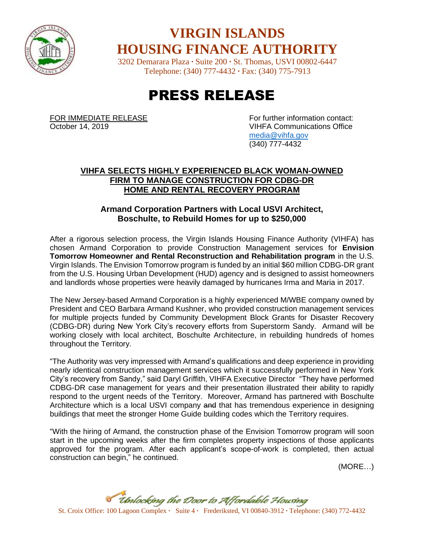

### **VIRGIN ISLANDS HOUSING FINANCE AUTHORITY**

3202 Demarara Plaza **∙** Suite 200 **∙** St. Thomas, USVI 00802-6447 Telephone: (340) 777-4432 **∙** Fax: (340) 775-7913

# PRESS RELEASE

FOR IMMEDIATE RELEASE<br>
October 14, 2019<br>
VIHFA Communications Office **VIHFA Communications Office** [media@vihfa.gov](mailto:media@vihfa.gov) (340) 777-4432

#### **VIHFA SELECTS HIGHLY EXPERIENCED BLACK WOMAN-OWNED FIRM TO MANAGE CONSTRUCTION FOR CDBG-DR HOME AND RENTAL RECOVERY PROGRAM**

#### **Armand Corporation Partners with Local USVI Architect, Boschulte, to Rebuild Homes for up to \$250,000**

After a rigorous selection process, the Virgin Islands Housing Finance Authority (VIHFA) has chosen Armand Corporation to provide Construction Management services for **Envision Tomorrow Homeowner and Rental Reconstruction and Rehabilitation program** in the U.S. Virgin Islands. The Envision Tomorrow program is funded by an initial \$60 million CDBG-DR grant from the U.S. Housing Urban Development (HUD) agency and is designed to assist homeowners and landlords whose properties were heavily damaged by hurricanes Irma and Maria in 2017.

The New Jersey-based Armand Corporation is a highly experienced M/WBE company owned by President and CEO Barbara Armand Kushner, who provided construction management services for multiple projects funded by Community Development Block Grants for Disaster Recovery (CDBG-DR) during New York City's recovery efforts from Superstorm Sandy. Armand will be working closely with local architect, Boschulte Architecture, in rebuilding hundreds of homes throughout the Territory.

"The Authority was very impressed with Armand's qualifications and deep experience in providing nearly identical construction management services which it successfully performed in New York City's recovery from Sandy," said Daryl Griffith, VIHFA Executive Director "They have performed CDBG-DR case management for years and their presentation illustrated their ability to rapidly respond to the urgent needs of the Territory. Moreover, Armand has partnered with Boschulte Architecture which is a local USVI company and that has tremendous experience in designing buildings that meet the stronger Home Guide building codes which the Territory requires.

"With the hiring of Armand, the construction phase of the Envision Tomorrow program will soon start in the upcoming weeks after the firm completes property inspections of those applicants approved for the program. After each applicant's scope-of-work is completed, then actual construction can begin," he continued.

(MORE…)

St. Croix Office: 100 Lagoon Complex **∙** Suite 4 **∙** Frederiksted, VI 00840-3912 **∙** Telephone: (340) 772-4432